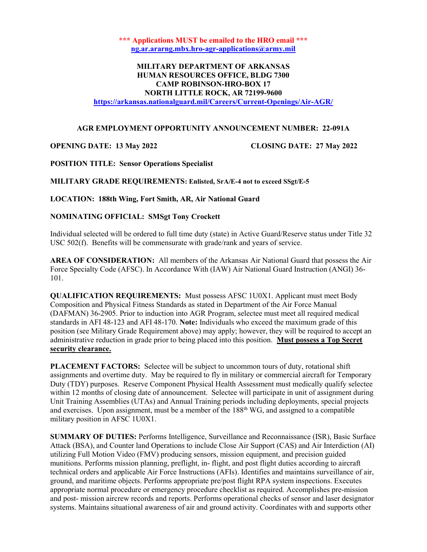\*\*\* Applications MUST be emailed to the HRO email \*\*\* ng.ar.ararng.mbx.hro-agr-applications@army.mil

## MILITARY DEPARTMENT OF ARKANSAS HUMAN RESOURCES OFFICE, BLDG 7300 CAMP ROBINSON-HRO-BOX 17 NORTH LITTLE ROCK, AR 72199-9600 https://arkansas.nationalguard.mil/Careers/Current-Openings/Air-AGR/

#### AGR EMPLOYMENT OPPORTUNITY ANNOUNCEMENT NUMBER: 22-091A

## OPENING DATE: 13 May 2022 CLOSING DATE: 27 May 2022

POSITION TITLE: Sensor Operations Specialist

MILITARY GRADE REQUIREMENTS: Enlisted, SrA/E-4 not to exceed SSgt/E-5

LOCATION: 188th Wing, Fort Smith, AR, Air National Guard

## NOMINATING OFFICIAL: SMSgt Tony Crockett

Individual selected will be ordered to full time duty (state) in Active Guard/Reserve status under Title 32 USC 502(f). Benefits will be commensurate with grade/rank and years of service.

AREA OF CONSIDERATION: All members of the Arkansas Air National Guard that possess the Air Force Specialty Code (AFSC). In Accordance With (IAW) Air National Guard Instruction (ANGI) 36- 101.

QUALIFICATION REQUIREMENTS: Must possess AFSC 1U0X1. Applicant must meet Body Composition and Physical Fitness Standards as stated in Department of the Air Force Manual (DAFMAN) 36-2905. Prior to induction into AGR Program, selectee must meet all required medical standards in AFI 48-123 and AFI 48-170. Note: Individuals who exceed the maximum grade of this position (see Military Grade Requirement above) may apply; however, they will be required to accept an administrative reduction in grade prior to being placed into this position. Must possess a Top Secret security clearance.

PLACEMENT FACTORS: Selectee will be subject to uncommon tours of duty, rotational shift assignments and overtime duty. May be required to fly in military or commercial aircraft for Temporary Duty (TDY) purposes. Reserve Component Physical Health Assessment must medically qualify selectee within 12 months of closing date of announcement. Selectee will participate in unit of assignment during Unit Training Assemblies (UTAs) and Annual Training periods including deployments, special projects and exercises. Upon assignment, must be a member of the 188th WG, and assigned to a compatible military position in AFSC 1U0X1.

SUMMARY OF DUTIES: Performs Intelligence, Surveillance and Reconnaissance (ISR), Basic Surface Attack (BSA), and Counter land Operations to include Close Air Support (CAS) and Air Interdiction (AI) utilizing Full Motion Video (FMV) producing sensors, mission equipment, and precision guided munitions. Performs mission planning, preflight, in- flight, and post flight duties according to aircraft technical orders and applicable Air Force Instructions (AFIs). Identifies and maintains surveillance of air, ground, and maritime objects. Performs appropriate pre/post flight RPA system inspections. Executes appropriate normal procedure or emergency procedure checklist as required. Accomplishes pre-mission and post- mission aircrew records and reports. Performs operational checks of sensor and laser designator systems. Maintains situational awareness of air and ground activity. Coordinates with and supports other